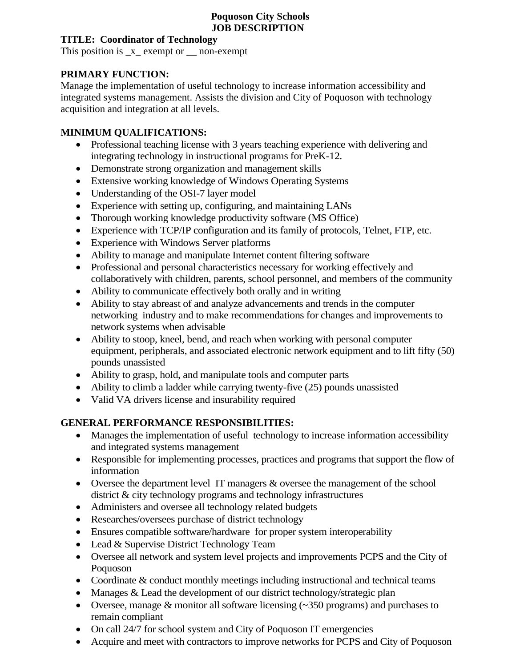#### **Poquoson City Schools JOB DESCRIPTION**

#### **TITLE: Coordinator of Technology**

This position is  $_x$  exempt or  $\frac{1}{x}$  non-exempt

# **PRIMARY FUNCTION:**

Manage the implementation of useful technology to increase information accessibility and integrated systems management. Assists the division and City of Poquoson with technology acquisition and integration at all levels.

# **MINIMUM QUALIFICATIONS:**

- Professional teaching license with 3 years teaching experience with delivering and integrating technology in instructional programs for PreK-12.
- Demonstrate strong organization and management skills
- Extensive working knowledge of Windows Operating Systems
- Understanding of the OSI-7 layer model
- Experience with setting up, configuring, and maintaining LANs
- Thorough working knowledge productivity software (MS Office)
- Experience with TCP/IP configuration and its family of protocols, Telnet, FTP, etc.
- Experience with Windows Server platforms
- Ability to manage and manipulate Internet content filtering software
- Professional and personal characteristics necessary for working effectively and collaboratively with children, parents, school personnel, and members of the community
- Ability to communicate effectively both orally and in writing
- Ability to stay abreast of and analyze advancements and trends in the computer networking industry and to make recommendations for changes and improvements to network systems when advisable
- Ability to stoop, kneel, bend, and reach when working with personal computer equipment, peripherals, and associated electronic network equipment and to lift fifty (50) pounds unassisted
- Ability to grasp, hold, and manipulate tools and computer parts
- Ability to climb a ladder while carrying twenty-five (25) pounds unassisted
- Valid VA drivers license and insurability required

# **GENERAL PERFORMANCE RESPONSIBILITIES:**

- Manages the implementation of useful technology to increase information accessibility and integrated systems management
- Responsible for implementing processes, practices and programs that support the flow of information
- Oversee the department level IT managers & oversee the management of the school district & city technology programs and technology infrastructures
- Administers and oversee all technology related budgets
- Researches/oversees purchase of district technology
- Ensures compatible software/hardware for proper system interoperability
- Lead & Supervise District Technology Team
- Oversee all network and system level projects and improvements PCPS and the City of Poquoson
- Coordinate & conduct monthly meetings including instructional and technical teams
- Manages & Lead the development of our district technology/strategic plan
- Oversee, manage & monitor all software licensing (~350 programs) and purchases to remain compliant
- On call 24/7 for school system and City of Poquoson IT emergencies
- Acquire and meet with contractors to improve networks for PCPS and City of Poquoson